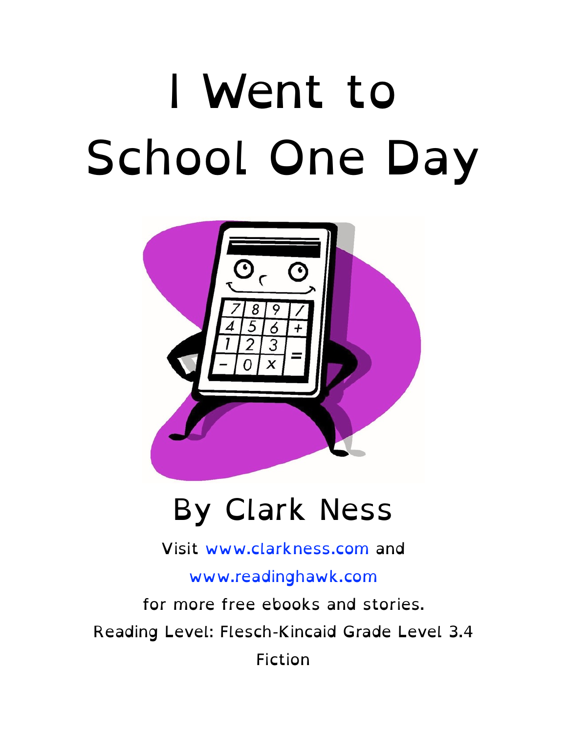# I Went to School One Day



#### By Clark Ness

Visit [www.clarkness.com](http://www.clarkness.com) and

[www.readinghawk.com](http://www.readinghawk.com)

for more free ebooks and stories. Reading Level: Flesch-Kincaid Grade Level 3.4 Fiction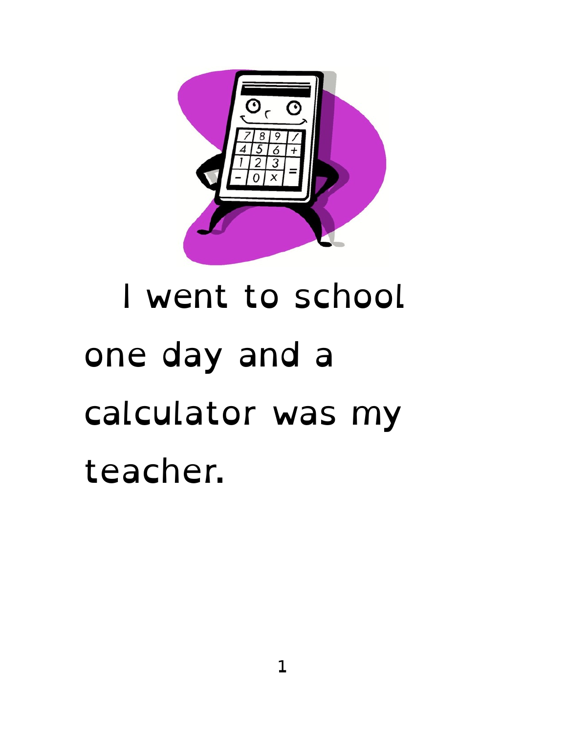

## I went to school one day and a calculator was my teacher.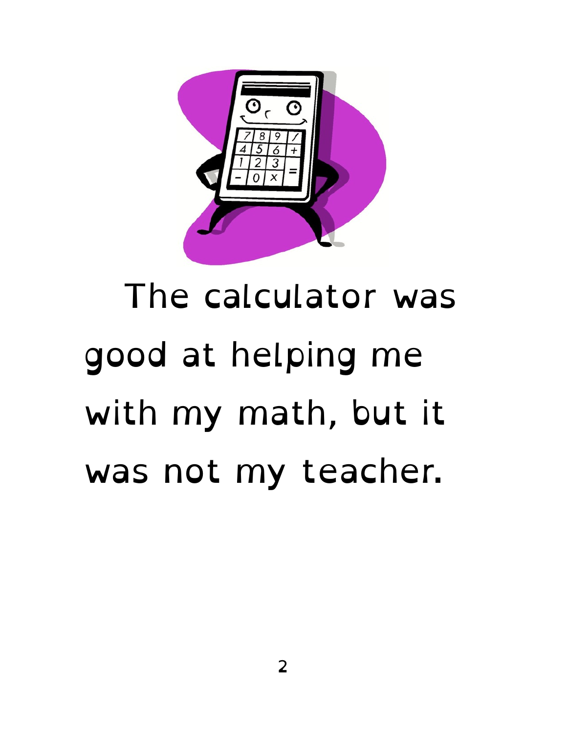

#### The calculator was good at helping me with my math, but it was not my teacher.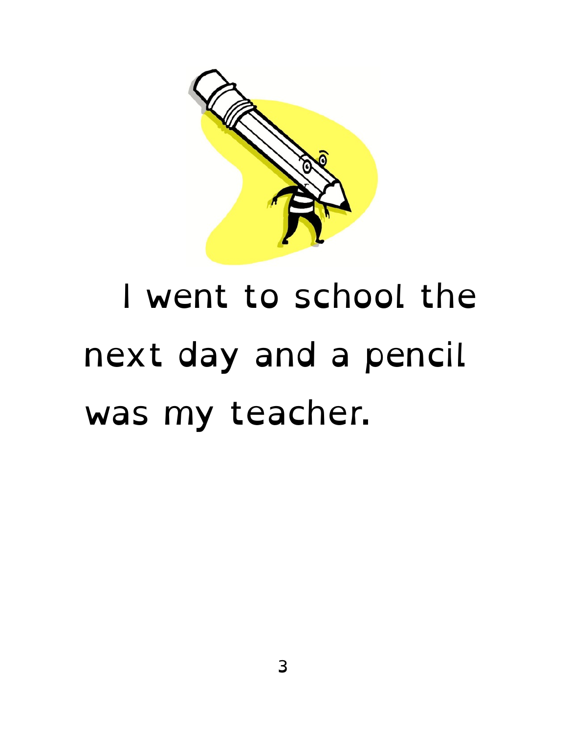

#### I went to school the next day and a pencil was my teacher.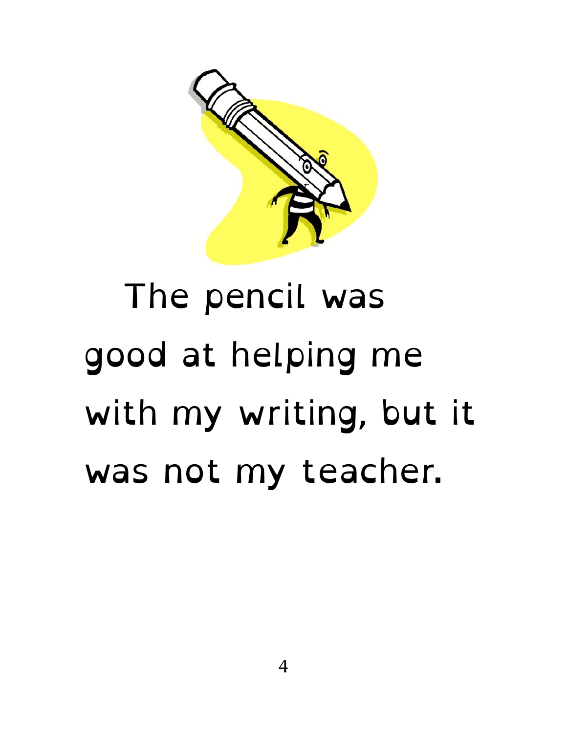

#### The pencil was good at helping me with my writing, but it was not my teacher.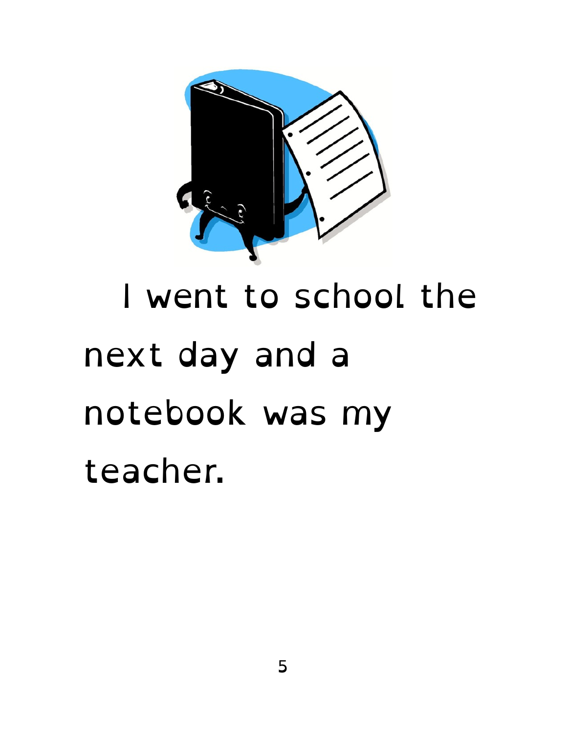

#### I went to school the next day and a notebook was my teacher.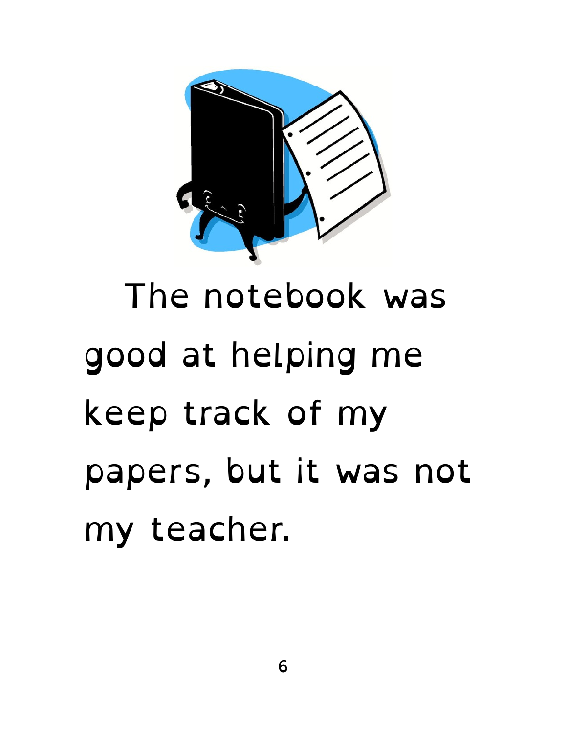

## The notebook was good at helping me keep track of my papers, but it was not my teacher.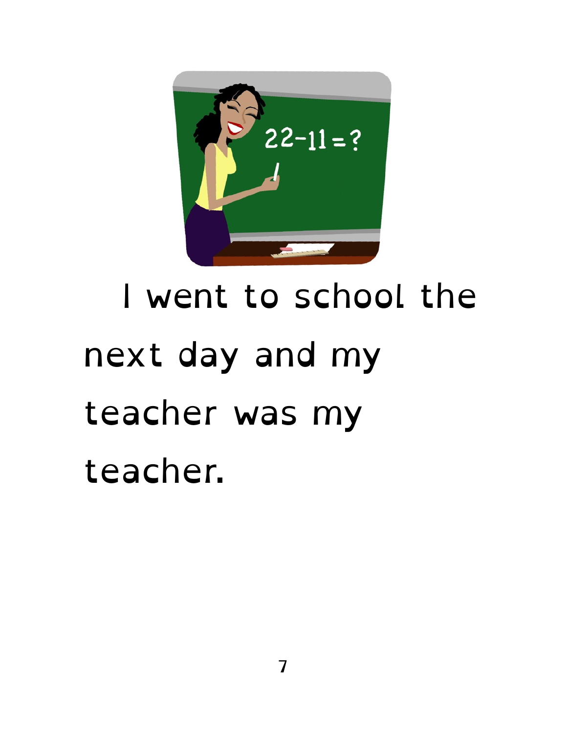

## I went to school the next day and my teacher was my teacher.